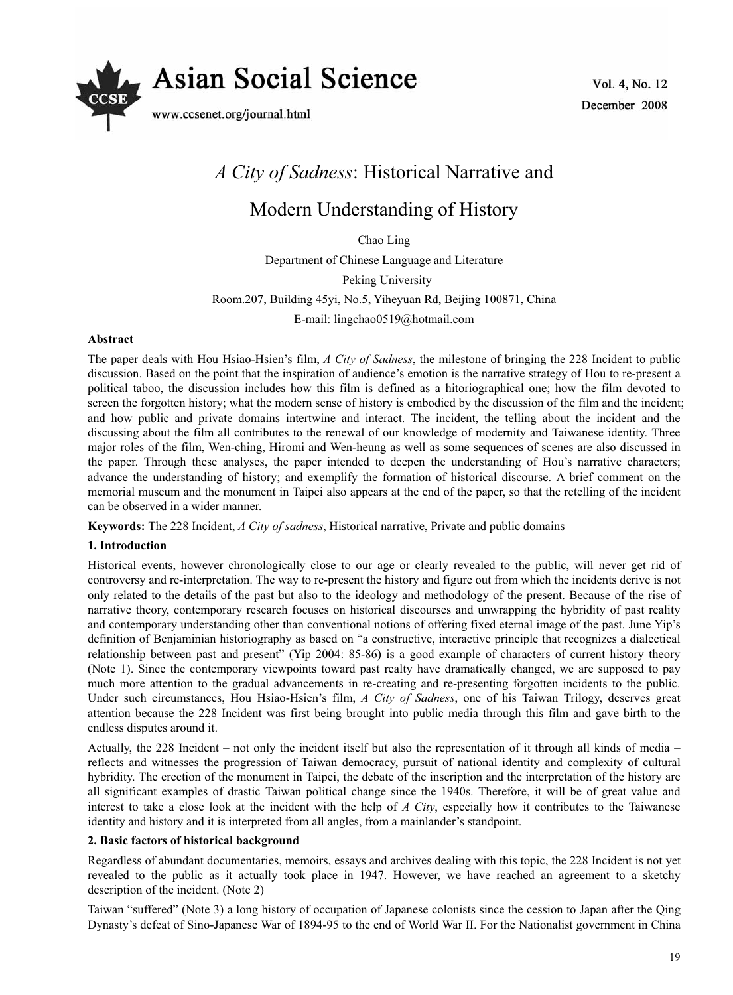

Vol. 4, No. 12 December 2008

# *A City of Sadness*: Historical Narrative and

# Modern Understanding of History

Chao Ling

Department of Chinese Language and Literature Peking University Room.207, Building 45yi, No.5, Yiheyuan Rd, Beijing 100871, China E-mail: lingchao0519@hotmail.com

#### **Abstract**

The paper deals with Hou Hsiao-Hsien's film, *A City of Sadness*, the milestone of bringing the 228 Incident to public discussion. Based on the point that the inspiration of audience's emotion is the narrative strategy of Hou to re-present a political taboo, the discussion includes how this film is defined as a hitoriographical one; how the film devoted to screen the forgotten history; what the modern sense of history is embodied by the discussion of the film and the incident; and how public and private domains intertwine and interact. The incident, the telling about the incident and the discussing about the film all contributes to the renewal of our knowledge of modernity and Taiwanese identity. Three major roles of the film, Wen-ching, Hiromi and Wen-heung as well as some sequences of scenes are also discussed in the paper. Through these analyses, the paper intended to deepen the understanding of Hou's narrative characters; advance the understanding of history; and exemplify the formation of historical discourse. A brief comment on the memorial museum and the monument in Taipei also appears at the end of the paper, so that the retelling of the incident can be observed in a wider manner.

**Keywords:** The 228 Incident, *A City of sadness*, Historical narrative, Private and public domains

## **1. Introduction**

Historical events, however chronologically close to our age or clearly revealed to the public, will never get rid of controversy and re-interpretation. The way to re-present the history and figure out from which the incidents derive is not only related to the details of the past but also to the ideology and methodology of the present. Because of the rise of narrative theory, contemporary research focuses on historical discourses and unwrapping the hybridity of past reality and contemporary understanding other than conventional notions of offering fixed eternal image of the past. June Yip's definition of Benjaminian historiography as based on "a constructive, interactive principle that recognizes a dialectical relationship between past and present" (Yip 2004: 85-86) is a good example of characters of current history theory (Note 1). Since the contemporary viewpoints toward past realty have dramatically changed, we are supposed to pay much more attention to the gradual advancements in re-creating and re-presenting forgotten incidents to the public. Under such circumstances, Hou Hsiao-Hsien's film, *A City of Sadness*, one of his Taiwan Trilogy, deserves great attention because the 228 Incident was first being brought into public media through this film and gave birth to the endless disputes around it.

Actually, the 228 Incident – not only the incident itself but also the representation of it through all kinds of media – reflects and witnesses the progression of Taiwan democracy, pursuit of national identity and complexity of cultural hybridity. The erection of the monument in Taipei, the debate of the inscription and the interpretation of the history are all significant examples of drastic Taiwan political change since the 1940s. Therefore, it will be of great value and interest to take a close look at the incident with the help of *A City*, especially how it contributes to the Taiwanese identity and history and it is interpreted from all angles, from a mainlander's standpoint.

#### **2. Basic factors of historical background**

Regardless of abundant documentaries, memoirs, essays and archives dealing with this topic, the 228 Incident is not yet revealed to the public as it actually took place in 1947. However, we have reached an agreement to a sketchy description of the incident. (Note 2)

Taiwan "suffered" (Note 3) a long history of occupation of Japanese colonists since the cession to Japan after the Qing Dynasty's defeat of Sino-Japanese War of 1894-95 to the end of World War II. For the Nationalist government in China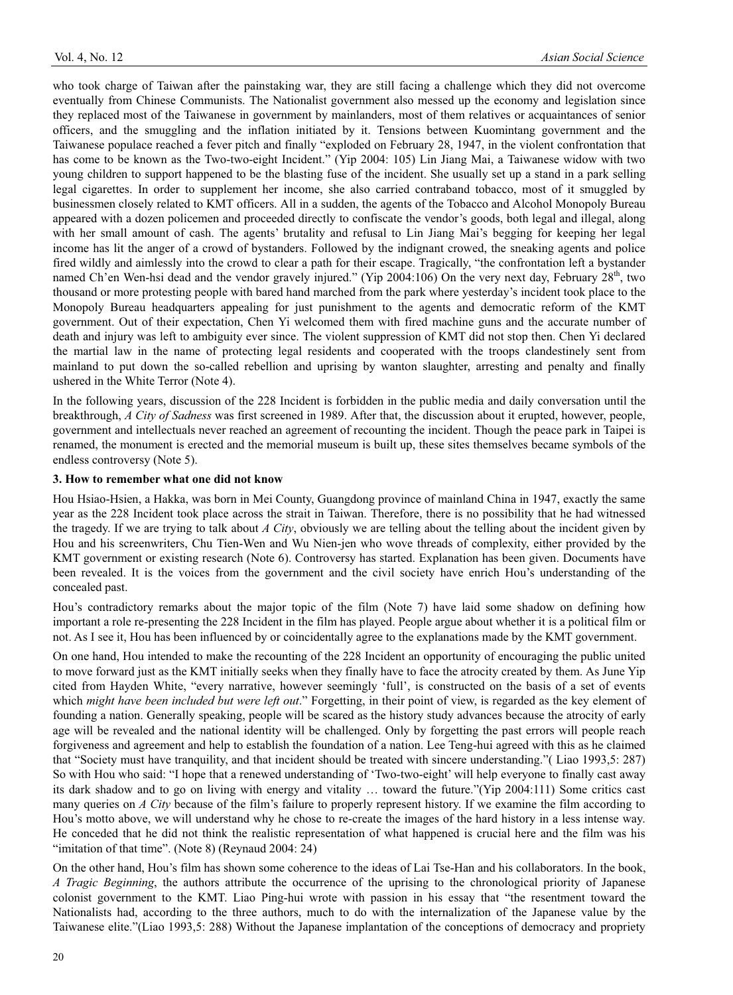who took charge of Taiwan after the painstaking war, they are still facing a challenge which they did not overcome eventually from Chinese Communists. The Nationalist government also messed up the economy and legislation since they replaced most of the Taiwanese in government by mainlanders, most of them relatives or acquaintances of senior officers, and the smuggling and the inflation initiated by it. Tensions between Kuomintang government and the Taiwanese populace reached a fever pitch and finally "exploded on February 28, 1947, in the violent confrontation that has come to be known as the Two-two-eight Incident." (Yip 2004: 105) Lin Jiang Mai, a Taiwanese widow with two young children to support happened to be the blasting fuse of the incident. She usually set up a stand in a park selling legal cigarettes. In order to supplement her income, she also carried contraband tobacco, most of it smuggled by businessmen closely related to KMT officers. All in a sudden, the agents of the Tobacco and Alcohol Monopoly Bureau appeared with a dozen policemen and proceeded directly to confiscate the vendor's goods, both legal and illegal, along with her small amount of cash. The agents' brutality and refusal to Lin Jiang Mai's begging for keeping her legal income has lit the anger of a crowd of bystanders. Followed by the indignant crowed, the sneaking agents and police fired wildly and aimlessly into the crowd to clear a path for their escape. Tragically, "the confrontation left a bystander named Ch'en Wen-hsi dead and the vendor gravely injured." (Yip 2004:106) On the very next day, February 28<sup>th</sup>, two thousand or more protesting people with bared hand marched from the park where yesterday's incident took place to the Monopoly Bureau headquarters appealing for just punishment to the agents and democratic reform of the KMT government. Out of their expectation, Chen Yi welcomed them with fired machine guns and the accurate number of death and injury was left to ambiguity ever since. The violent suppression of KMT did not stop then. Chen Yi declared the martial law in the name of protecting legal residents and cooperated with the troops clandestinely sent from mainland to put down the so-called rebellion and uprising by wanton slaughter, arresting and penalty and finally ushered in the White Terror (Note 4).

In the following years, discussion of the 228 Incident is forbidden in the public media and daily conversation until the breakthrough, *A City of Sadness* was first screened in 1989. After that, the discussion about it erupted, however, people, government and intellectuals never reached an agreement of recounting the incident. Though the peace park in Taipei is renamed, the monument is erected and the memorial museum is built up, these sites themselves became symbols of the endless controversy (Note 5).

#### **3. How to remember what one did not know**

Hou Hsiao-Hsien, a Hakka, was born in Mei County, Guangdong province of mainland China in 1947, exactly the same year as the 228 Incident took place across the strait in Taiwan. Therefore, there is no possibility that he had witnessed the tragedy. If we are trying to talk about *A City*, obviously we are telling about the telling about the incident given by Hou and his screenwriters, Chu Tien-Wen and Wu Nien-jen who wove threads of complexity, either provided by the KMT government or existing research (Note 6). Controversy has started. Explanation has been given. Documents have been revealed. It is the voices from the government and the civil society have enrich Hou's understanding of the concealed past.

Hou's contradictory remarks about the major topic of the film (Note 7) have laid some shadow on defining how important a role re-presenting the 228 Incident in the film has played. People argue about whether it is a political film or not. As I see it, Hou has been influenced by or coincidentally agree to the explanations made by the KMT government.

On one hand, Hou intended to make the recounting of the 228 Incident an opportunity of encouraging the public united to move forward just as the KMT initially seeks when they finally have to face the atrocity created by them. As June Yip cited from Hayden White, "every narrative, however seemingly 'full', is constructed on the basis of a set of events which *might have been included but were left out*." Forgetting, in their point of view, is regarded as the key element of founding a nation. Generally speaking, people will be scared as the history study advances because the atrocity of early age will be revealed and the national identity will be challenged. Only by forgetting the past errors will people reach forgiveness and agreement and help to establish the foundation of a nation. Lee Teng-hui agreed with this as he claimed that "Society must have tranquility, and that incident should be treated with sincere understanding."( Liao 1993,5: 287) So with Hou who said: "I hope that a renewed understanding of 'Two-two-eight' will help everyone to finally cast away its dark shadow and to go on living with energy and vitality … toward the future."(Yip 2004:111) Some critics cast many queries on *A City* because of the film's failure to properly represent history. If we examine the film according to Hou's motto above, we will understand why he chose to re-create the images of the hard history in a less intense way. He conceded that he did not think the realistic representation of what happened is crucial here and the film was his "imitation of that time". (Note 8) (Reynaud 2004: 24)

On the other hand, Hou's film has shown some coherence to the ideas of Lai Tse-Han and his collaborators. In the book, *A Tragic Beginning*, the authors attribute the occurrence of the uprising to the chronological priority of Japanese colonist government to the KMT. Liao Ping-hui wrote with passion in his essay that "the resentment toward the Nationalists had, according to the three authors, much to do with the internalization of the Japanese value by the Taiwanese elite."(Liao 1993,5: 288) Without the Japanese implantation of the conceptions of democracy and propriety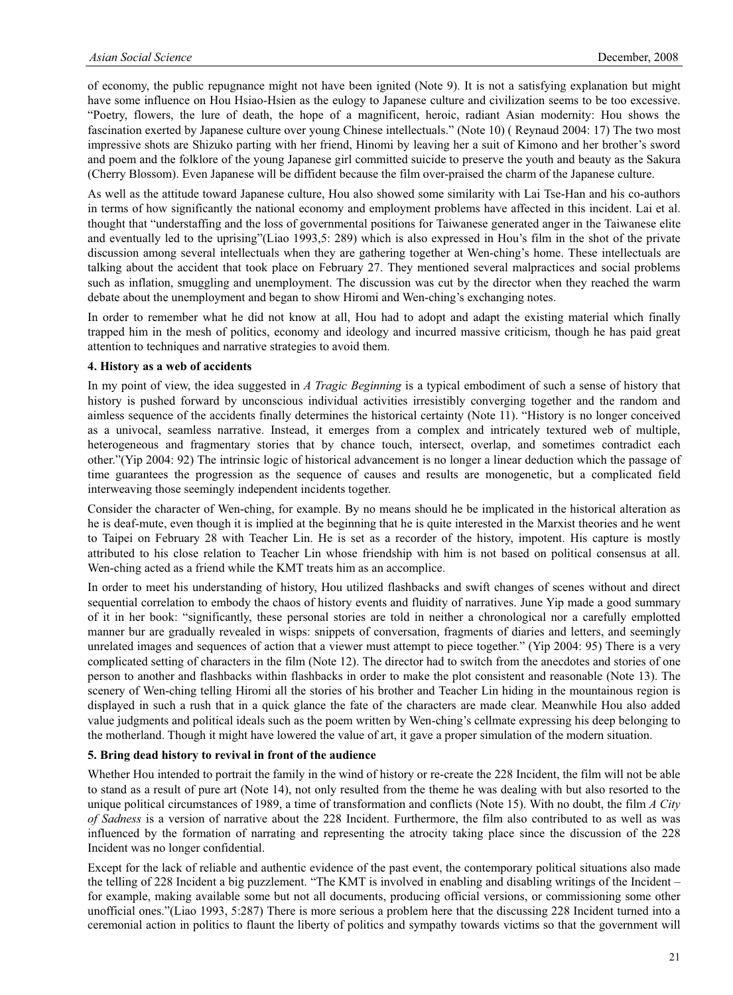of economy, the public repugnance might not have been ignited (Note 9). It is not a satisfying explanation but might have some influence on Hou Hsiao-Hsien as the eulogy to Japanese culture and civilization seems to be too excessive. "Poetry, flowers, the lure of death, the hope of a magnificent, heroic, radiant Asian modernity: Hou shows the fascination exerted by Japanese culture over young Chinese intellectuals." (Note 10) ( Reynaud 2004: 17) The two most impressive shots are Shizuko parting with her friend, Hinomi by leaving her a suit of Kimono and her brother's sword and poem and the folklore of the young Japanese girl committed suicide to preserve the youth and beauty as the Sakura (Cherry Blossom). Even Japanese will be diffident because the film over-praised the charm of the Japanese culture.

As well as the attitude toward Japanese culture, Hou also showed some similarity with Lai Tse-Han and his co-authors in terms of how significantly the national economy and employment problems have affected in this incident. Lai et al. thought that "understaffing and the loss of governmental positions for Taiwanese generated anger in the Taiwanese elite and eventually led to the uprising"(Liao 1993,5: 289) which is also expressed in Hou's film in the shot of the private discussion among several intellectuals when they are gathering together at Wen-ching's home. These intellectuals are talking about the accident that took place on February 27. They mentioned several malpractices and social problems such as inflation, smuggling and unemployment. The discussion was cut by the director when they reached the warm debate about the unemployment and began to show Hiromi and Wen-ching's exchanging notes.

In order to remember what he did not know at all, Hou had to adopt and adapt the existing material which finally trapped him in the mesh of politics, economy and ideology and incurred massive criticism, though he has paid great attention to techniques and narrative strategies to avoid them.

#### **4. History as a web of accidents**

In my point of view, the idea suggested in *A Tragic Beginning* is a typical embodiment of such a sense of history that history is pushed forward by unconscious individual activities irresistibly converging together and the random and aimless sequence of the accidents finally determines the historical certainty (Note 11). "History is no longer conceived as a univocal, seamless narrative. Instead, it emerges from a complex and intricately textured web of multiple, heterogeneous and fragmentary stories that by chance touch, intersect, overlap, and sometimes contradict each other."(Yip 2004: 92) The intrinsic logic of historical advancement is no longer a linear deduction which the passage of time guarantees the progression as the sequence of causes and results are monogenetic, but a complicated field interweaving those seemingly independent incidents together.

Consider the character of Wen-ching, for example. By no means should he be implicated in the historical alteration as he is deaf-mute, even though it is implied at the beginning that he is quite interested in the Marxist theories and he went to Taipei on February 28 with Teacher Lin. He is set as a recorder of the history, impotent. His capture is mostly attributed to his close relation to Teacher Lin whose friendship with him is not based on political consensus at all. Wen-ching acted as a friend while the KMT treats him as an accomplice.

In order to meet his understanding of history, Hou utilized flashbacks and swift changes of scenes without and direct sequential correlation to embody the chaos of history events and fluidity of narratives. June Yip made a good summary of it in her book: "significantly, these personal stories are told in neither a chronological nor a carefully emplotted manner bur are gradually revealed in wisps: snippets of conversation, fragments of diaries and letters, and seemingly unrelated images and sequences of action that a viewer must attempt to piece together." (Yip 2004: 95) There is a very complicated setting of characters in the film (Note 12). The director had to switch from the anecdotes and stories of one person to another and flashbacks within flashbacks in order to make the plot consistent and reasonable (Note 13). The scenery of Wen-ching telling Hiromi all the stories of his brother and Teacher Lin hiding in the mountainous region is displayed in such a rush that in a quick glance the fate of the characters are made clear. Meanwhile Hou also added value judgments and political ideals such as the poem written by Wen-ching's cellmate expressing his deep belonging to the motherland. Though it might have lowered the value of art, it gave a proper simulation of the modern situation.

#### **5. Bring dead history to revival in front of the audience**

Whether Hou intended to portrait the family in the wind of history or re-create the 228 Incident, the film will not be able to stand as a result of pure art (Note 14), not only resulted from the theme he was dealing with but also resorted to the unique political circumstances of 1989, a time of transformation and conflicts (Note 15). With no doubt, the film *A City of Sadness* is a version of narrative about the 228 Incident. Furthermore, the film also contributed to as well as was influenced by the formation of narrating and representing the atrocity taking place since the discussion of the 228 Incident was no longer confidential.

Except for the lack of reliable and authentic evidence of the past event, the contemporary political situations also made the telling of 228 Incident a big puzzlement. "The KMT is involved in enabling and disabling writings of the Incident – for example, making available some but not all documents, producing official versions, or commissioning some other unofficial ones."(Liao 1993, 5:287) There is more serious a problem here that the discussing 228 Incident turned into a ceremonial action in politics to flaunt the liberty of politics and sympathy towards victims so that the government will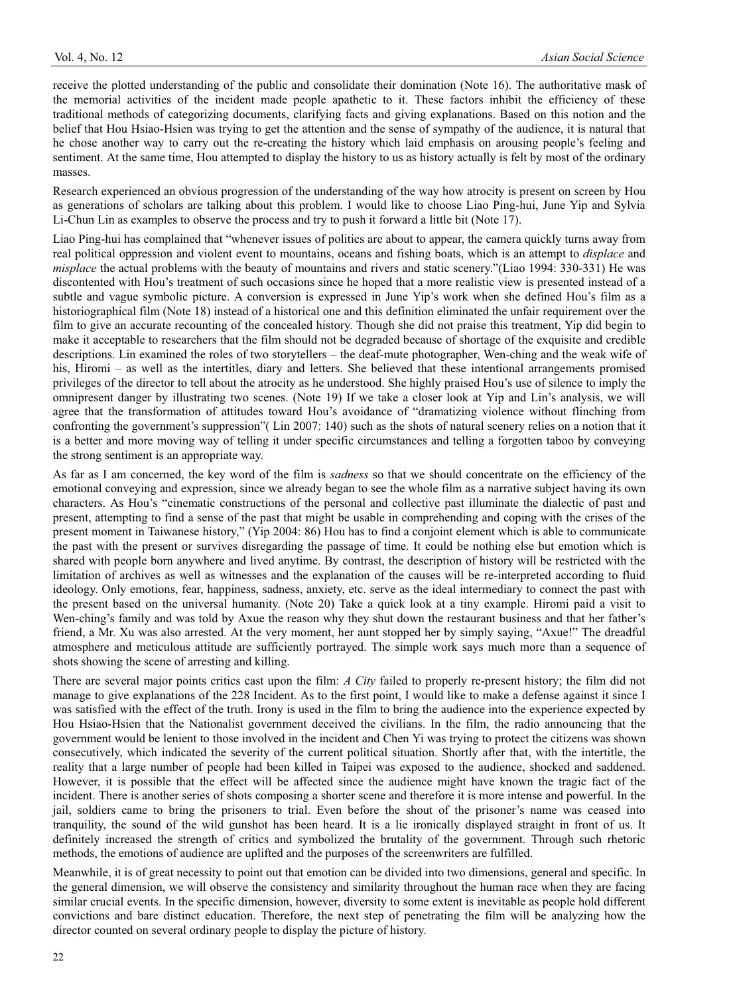receive the plotted understanding of the public and consolidate their domination (Note 16). The authoritative mask of the memorial activities of the incident made people apathetic to it. These factors inhibit the efficiency of these traditional methods of categorizing documents, clarifying facts and giving explanations. Based on this notion and the belief that Hou Hsiao-Hsien was trying to get the attention and the sense of sympathy of the audience, it is natural that he chose another way to carry out the re-creating the history which laid emphasis on arousing people's feeling and sentiment. At the same time, Hou attempted to display the history to us as history actually is felt by most of the ordinary masses.

Research experienced an obvious progression of the understanding of the way how atrocity is present on screen by Hou as generations of scholars are talking about this problem. I would like to choose Liao Ping-hui, June Yip and Sylvia Li-Chun Lin as examples to observe the process and try to push it forward a little bit (Note 17).

Liao Ping-hui has complained that "whenever issues of politics are about to appear, the camera quickly turns away from real political oppression and violent event to mountains, oceans and fishing boats, which is an attempt to *displace* and *misplace* the actual problems with the beauty of mountains and rivers and static scenery."(Liao 1994: 330-331) He was discontented with Hou's treatment of such occasions since he hoped that a more realistic view is presented instead of a subtle and vague symbolic picture. A conversion is expressed in June Yip's work when she defined Hou's film as a historiographical film (Note 18) instead of a historical one and this definition eliminated the unfair requirement over the film to give an accurate recounting of the concealed history. Though she did not praise this treatment, Yip did begin to make it acceptable to researchers that the film should not be degraded because of shortage of the exquisite and credible descriptions. Lin examined the roles of two storytellers – the deaf-mute photographer, Wen-ching and the weak wife of his, Hiromi – as well as the intertitles, diary and letters. She believed that these intentional arrangements promised privileges of the director to tell about the atrocity as he understood. She highly praised Hou's use of silence to imply the omnipresent danger by illustrating two scenes. (Note 19) If we take a closer look at Yip and Lin's analysis, we will agree that the transformation of attitudes toward Hou's avoidance of "dramatizing violence without flinching from confronting the government's suppression"( Lin 2007: 140) such as the shots of natural scenery relies on a notion that it is a better and more moving way of telling it under specific circumstances and telling a forgotten taboo by conveying the strong sentiment is an appropriate way.

As far as I am concerned, the key word of the film is *sadness* so that we should concentrate on the efficiency of the emotional conveying and expression, since we already began to see the whole film as a narrative subject having its own characters. As Hou's "cinematic constructions of the personal and collective past illuminate the dialectic of past and present, attempting to find a sense of the past that might be usable in comprehending and coping with the crises of the present moment in Taiwanese history," (Yip 2004: 86) Hou has to find a conjoint element which is able to communicate the past with the present or survives disregarding the passage of time. It could be nothing else but emotion which is shared with people born anywhere and lived anytime. By contrast, the description of history will be restricted with the limitation of archives as well as witnesses and the explanation of the causes will be re-interpreted according to fluid ideology. Only emotions, fear, happiness, sadness, anxiety, etc. serve as the ideal intermediary to connect the past with the present based on the universal humanity. (Note 20) Take a quick look at a tiny example. Hiromi paid a visit to Wen-ching's family and was told by Axue the reason why they shut down the restaurant business and that her father's friend, a Mr. Xu was also arrested. At the very moment, her aunt stopped her by simply saying, "Axue!" The dreadful atmosphere and meticulous attitude are sufficiently portrayed. The simple work says much more than a sequence of shots showing the scene of arresting and killing.

There are several major points critics cast upon the film: *A City* failed to properly re-present history; the film did not manage to give explanations of the 228 Incident. As to the first point, I would like to make a defense against it since I was satisfied with the effect of the truth. Irony is used in the film to bring the audience into the experience expected by Hou Hsiao-Hsien that the Nationalist government deceived the civilians. In the film, the radio announcing that the government would be lenient to those involved in the incident and Chen Yi was trying to protect the citizens was shown consecutively, which indicated the severity of the current political situation. Shortly after that, with the intertitle, the reality that a large number of people had been killed in Taipei was exposed to the audience, shocked and saddened. However, it is possible that the effect will be affected since the audience might have known the tragic fact of the incident. There is another series of shots composing a shorter scene and therefore it is more intense and powerful. In the jail, soldiers came to bring the prisoners to trial. Even before the shout of the prisoner's name was ceased into tranquility, the sound of the wild gunshot has been heard. It is a lie ironically displayed straight in front of us. It definitely increased the strength of critics and symbolized the brutality of the government. Through such rhetoric methods, the emotions of audience are uplifted and the purposes of the screenwriters are fulfilled.

Meanwhile, it is of great necessity to point out that emotion can be divided into two dimensions, general and specific. In the general dimension, we will observe the consistency and similarity throughout the human race when they are facing similar crucial events. In the specific dimension, however, diversity to some extent is inevitable as people hold different convictions and bare distinct education. Therefore, the next step of penetrating the film will be analyzing how the director counted on several ordinary people to display the picture of history.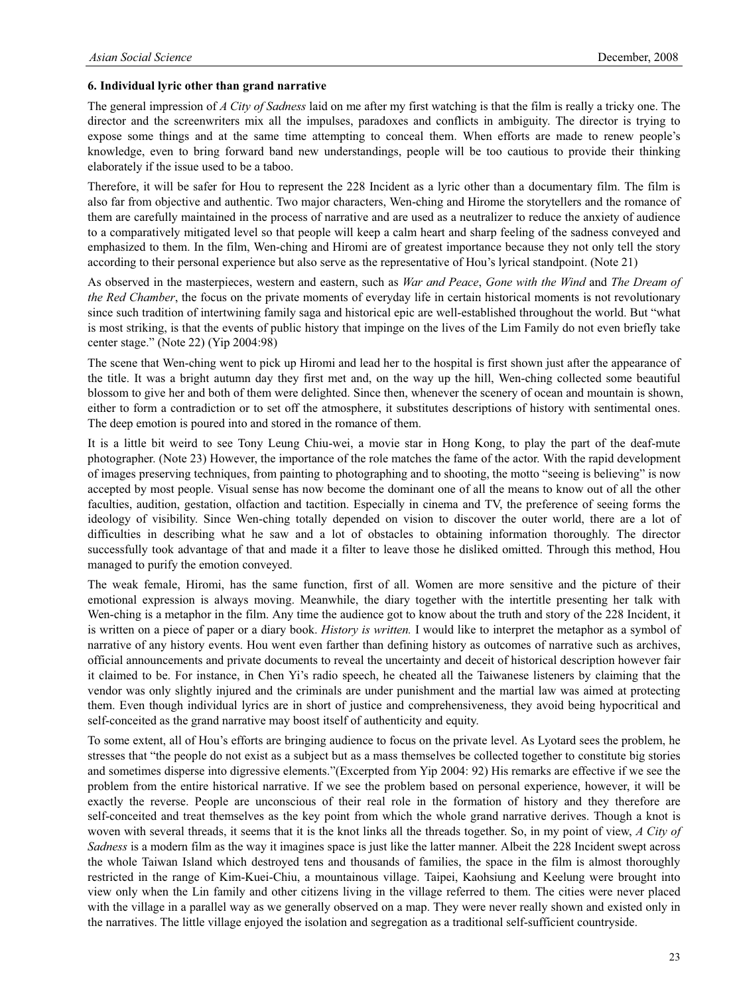### **6. Individual lyric other than grand narrative**

The general impression of *A City of Sadness* laid on me after my first watching is that the film is really a tricky one. The director and the screenwriters mix all the impulses, paradoxes and conflicts in ambiguity. The director is trying to expose some things and at the same time attempting to conceal them. When efforts are made to renew people's knowledge, even to bring forward band new understandings, people will be too cautious to provide their thinking elaborately if the issue used to be a taboo.

Therefore, it will be safer for Hou to represent the 228 Incident as a lyric other than a documentary film. The film is also far from objective and authentic. Two major characters, Wen-ching and Hirome the storytellers and the romance of them are carefully maintained in the process of narrative and are used as a neutralizer to reduce the anxiety of audience to a comparatively mitigated level so that people will keep a calm heart and sharp feeling of the sadness conveyed and emphasized to them. In the film, Wen-ching and Hiromi are of greatest importance because they not only tell the story according to their personal experience but also serve as the representative of Hou's lyrical standpoint. (Note 21)

As observed in the masterpieces, western and eastern, such as *War and Peace*, *Gone with the Wind* and *The Dream of the Red Chamber*, the focus on the private moments of everyday life in certain historical moments is not revolutionary since such tradition of intertwining family saga and historical epic are well-established throughout the world. But "what is most striking, is that the events of public history that impinge on the lives of the Lim Family do not even briefly take center stage." (Note 22) (Yip 2004:98)

The scene that Wen-ching went to pick up Hiromi and lead her to the hospital is first shown just after the appearance of the title. It was a bright autumn day they first met and, on the way up the hill, Wen-ching collected some beautiful blossom to give her and both of them were delighted. Since then, whenever the scenery of ocean and mountain is shown, either to form a contradiction or to set off the atmosphere, it substitutes descriptions of history with sentimental ones. The deep emotion is poured into and stored in the romance of them.

It is a little bit weird to see Tony Leung Chiu-wei, a movie star in Hong Kong, to play the part of the deaf-mute photographer. (Note 23) However, the importance of the role matches the fame of the actor. With the rapid development of images preserving techniques, from painting to photographing and to shooting, the motto "seeing is believing" is now accepted by most people. Visual sense has now become the dominant one of all the means to know out of all the other faculties, audition, gestation, olfaction and tactition. Especially in cinema and TV, the preference of seeing forms the ideology of visibility. Since Wen-ching totally depended on vision to discover the outer world, there are a lot of difficulties in describing what he saw and a lot of obstacles to obtaining information thoroughly. The director successfully took advantage of that and made it a filter to leave those he disliked omitted. Through this method, Hou managed to purify the emotion conveyed.

The weak female, Hiromi, has the same function, first of all. Women are more sensitive and the picture of their emotional expression is always moving. Meanwhile, the diary together with the intertitle presenting her talk with Wen-ching is a metaphor in the film. Any time the audience got to know about the truth and story of the 228 Incident, it is written on a piece of paper or a diary book. *History is written.* I would like to interpret the metaphor as a symbol of narrative of any history events. Hou went even farther than defining history as outcomes of narrative such as archives, official announcements and private documents to reveal the uncertainty and deceit of historical description however fair it claimed to be. For instance, in Chen Yi's radio speech, he cheated all the Taiwanese listeners by claiming that the vendor was only slightly injured and the criminals are under punishment and the martial law was aimed at protecting them. Even though individual lyrics are in short of justice and comprehensiveness, they avoid being hypocritical and self-conceited as the grand narrative may boost itself of authenticity and equity.

To some extent, all of Hou's efforts are bringing audience to focus on the private level. As Lyotard sees the problem, he stresses that "the people do not exist as a subject but as a mass themselves be collected together to constitute big stories and sometimes disperse into digressive elements."(Excerpted from Yip 2004: 92) His remarks are effective if we see the problem from the entire historical narrative. If we see the problem based on personal experience, however, it will be exactly the reverse. People are unconscious of their real role in the formation of history and they therefore are self-conceited and treat themselves as the key point from which the whole grand narrative derives. Though a knot is woven with several threads, it seems that it is the knot links all the threads together. So, in my point of view, *A City of Sadness* is a modern film as the way it imagines space is just like the latter manner. Albeit the 228 Incident swept across the whole Taiwan Island which destroyed tens and thousands of families, the space in the film is almost thoroughly restricted in the range of Kim-Kuei-Chiu, a mountainous village. Taipei, Kaohsiung and Keelung were brought into view only when the Lin family and other citizens living in the village referred to them. The cities were never placed with the village in a parallel way as we generally observed on a map. They were never really shown and existed only in the narratives. The little village enjoyed the isolation and segregation as a traditional self-sufficient countryside.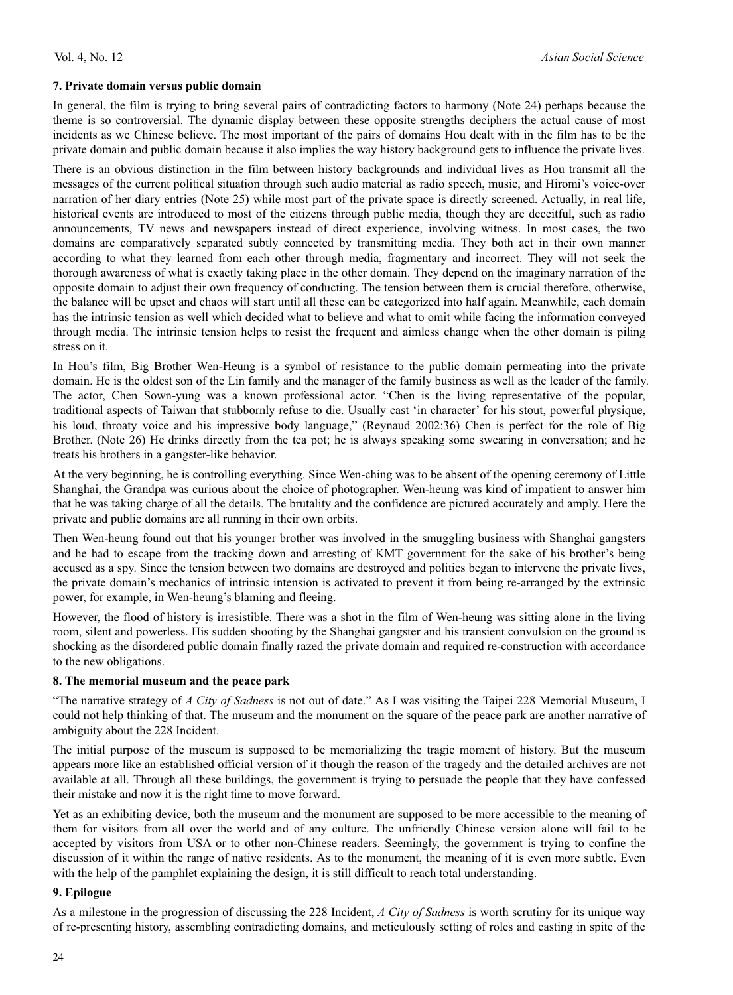#### **7. Private domain versus public domain**

In general, the film is trying to bring several pairs of contradicting factors to harmony (Note 24) perhaps because the theme is so controversial. The dynamic display between these opposite strengths deciphers the actual cause of most incidents as we Chinese believe. The most important of the pairs of domains Hou dealt with in the film has to be the private domain and public domain because it also implies the way history background gets to influence the private lives.

There is an obvious distinction in the film between history backgrounds and individual lives as Hou transmit all the messages of the current political situation through such audio material as radio speech, music, and Hiromi's voice-over narration of her diary entries (Note 25) while most part of the private space is directly screened. Actually, in real life, historical events are introduced to most of the citizens through public media, though they are deceitful, such as radio announcements, TV news and newspapers instead of direct experience, involving witness. In most cases, the two domains are comparatively separated subtly connected by transmitting media. They both act in their own manner according to what they learned from each other through media, fragmentary and incorrect. They will not seek the thorough awareness of what is exactly taking place in the other domain. They depend on the imaginary narration of the opposite domain to adjust their own frequency of conducting. The tension between them is crucial therefore, otherwise, the balance will be upset and chaos will start until all these can be categorized into half again. Meanwhile, each domain has the intrinsic tension as well which decided what to believe and what to omit while facing the information conveyed through media. The intrinsic tension helps to resist the frequent and aimless change when the other domain is piling stress on it.

In Hou's film, Big Brother Wen-Heung is a symbol of resistance to the public domain permeating into the private domain. He is the oldest son of the Lin family and the manager of the family business as well as the leader of the family. The actor, Chen Sown-yung was a known professional actor. "Chen is the living representative of the popular, traditional aspects of Taiwan that stubbornly refuse to die. Usually cast 'in character' for his stout, powerful physique, his loud, throaty voice and his impressive body language," (Reynaud 2002:36) Chen is perfect for the role of Big Brother. (Note 26) He drinks directly from the tea pot; he is always speaking some swearing in conversation; and he treats his brothers in a gangster-like behavior.

At the very beginning, he is controlling everything. Since Wen-ching was to be absent of the opening ceremony of Little Shanghai, the Grandpa was curious about the choice of photographer. Wen-heung was kind of impatient to answer him that he was taking charge of all the details. The brutality and the confidence are pictured accurately and amply. Here the private and public domains are all running in their own orbits.

Then Wen-heung found out that his younger brother was involved in the smuggling business with Shanghai gangsters and he had to escape from the tracking down and arresting of KMT government for the sake of his brother's being accused as a spy. Since the tension between two domains are destroyed and politics began to intervene the private lives, the private domain's mechanics of intrinsic intension is activated to prevent it from being re-arranged by the extrinsic power, for example, in Wen-heung's blaming and fleeing.

However, the flood of history is irresistible. There was a shot in the film of Wen-heung was sitting alone in the living room, silent and powerless. His sudden shooting by the Shanghai gangster and his transient convulsion on the ground is shocking as the disordered public domain finally razed the private domain and required re-construction with accordance to the new obligations.

#### **8. The memorial museum and the peace park**

"The narrative strategy of *A City of Sadness* is not out of date." As I was visiting the Taipei 228 Memorial Museum, I could not help thinking of that. The museum and the monument on the square of the peace park are another narrative of ambiguity about the 228 Incident.

The initial purpose of the museum is supposed to be memorializing the tragic moment of history. But the museum appears more like an established official version of it though the reason of the tragedy and the detailed archives are not available at all. Through all these buildings, the government is trying to persuade the people that they have confessed their mistake and now it is the right time to move forward.

Yet as an exhibiting device, both the museum and the monument are supposed to be more accessible to the meaning of them for visitors from all over the world and of any culture. The unfriendly Chinese version alone will fail to be accepted by visitors from USA or to other non-Chinese readers. Seemingly, the government is trying to confine the discussion of it within the range of native residents. As to the monument, the meaning of it is even more subtle. Even with the help of the pamphlet explaining the design, it is still difficult to reach total understanding.

#### **9. Epilogue**

As a milestone in the progression of discussing the 228 Incident, *A City of Sadness* is worth scrutiny for its unique way of re-presenting history, assembling contradicting domains, and meticulously setting of roles and casting in spite of the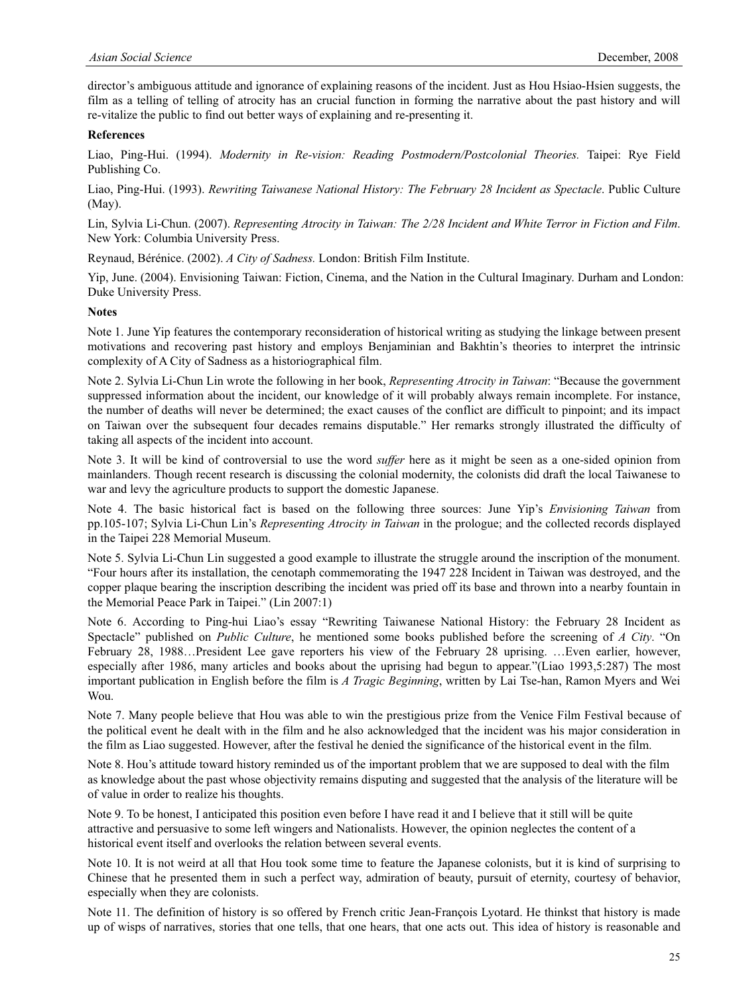director's ambiguous attitude and ignorance of explaining reasons of the incident. Just as Hou Hsiao-Hsien suggests, the film as a telling of telling of atrocity has an crucial function in forming the narrative about the past history and will re-vitalize the public to find out better ways of explaining and re-presenting it.

#### **References**

Liao, Ping-Hui. (1994). *Modernity in Re-vision: Reading Postmodern/Postcolonial Theories.* Taipei: Rye Field Publishing Co.

Liao, Ping-Hui. (1993). *Rewriting Taiwanese National History: The February 28 Incident as Spectacle*. Public Culture (May).

Lin, Sylvia Li-Chun. (2007). *Representing Atrocity in Taiwan: The 2/28 Incident and White Terror in Fiction and Film*. New York: Columbia University Press.

Reynaud, Bérénice. (2002). *A City of Sadness.* London: British Film Institute.

Yip, June. (2004). Envisioning Taiwan: Fiction, Cinema, and the Nation in the Cultural Imaginary. Durham and London: Duke University Press.

#### **Notes**

Note 1. June Yip features the contemporary reconsideration of historical writing as studying the linkage between present motivations and recovering past history and employs Benjaminian and Bakhtin's theories to interpret the intrinsic complexity of A City of Sadness as a historiographical film.

Note 2. Sylvia Li-Chun Lin wrote the following in her book, *Representing Atrocity in Taiwan*: "Because the government suppressed information about the incident, our knowledge of it will probably always remain incomplete. For instance, the number of deaths will never be determined; the exact causes of the conflict are difficult to pinpoint; and its impact on Taiwan over the subsequent four decades remains disputable." Her remarks strongly illustrated the difficulty of taking all aspects of the incident into account.

Note 3. It will be kind of controversial to use the word *suffer* here as it might be seen as a one-sided opinion from mainlanders. Though recent research is discussing the colonial modernity, the colonists did draft the local Taiwanese to war and levy the agriculture products to support the domestic Japanese.

Note 4. The basic historical fact is based on the following three sources: June Yip's *Envisioning Taiwan* from pp.105-107; Sylvia Li-Chun Lin's *Representing Atrocity in Taiwan* in the prologue; and the collected records displayed in the Taipei 228 Memorial Museum.

Note 5. Sylvia Li-Chun Lin suggested a good example to illustrate the struggle around the inscription of the monument. "Four hours after its installation, the cenotaph commemorating the 1947 228 Incident in Taiwan was destroyed, and the copper plaque bearing the inscription describing the incident was pried off its base and thrown into a nearby fountain in the Memorial Peace Park in Taipei." (Lin 2007:1)

Note 6. According to Ping-hui Liao's essay "Rewriting Taiwanese National History: the February 28 Incident as Spectacle" published on *Public Culture*, he mentioned some books published before the screening of *A City*. "On February 28, 1988…President Lee gave reporters his view of the February 28 uprising. …Even earlier, however, especially after 1986, many articles and books about the uprising had begun to appear."(Liao 1993,5:287) The most important publication in English before the film is *A Tragic Beginning*, written by Lai Tse-han, Ramon Myers and Wei Wou.

Note 7. Many people believe that Hou was able to win the prestigious prize from the Venice Film Festival because of the political event he dealt with in the film and he also acknowledged that the incident was his major consideration in the film as Liao suggested. However, after the festival he denied the significance of the historical event in the film.

Note 8. Hou's attitude toward history reminded us of the important problem that we are supposed to deal with the film as knowledge about the past whose objectivity remains disputing and suggested that the analysis of the literature will be of value in order to realize his thoughts.

Note 9. To be honest, I anticipated this position even before I have read it and I believe that it still will be quite attractive and persuasive to some left wingers and Nationalists. However, the opinion neglectes the content of a historical event itself and overlooks the relation between several events.

Note 10. It is not weird at all that Hou took some time to feature the Japanese colonists, but it is kind of surprising to Chinese that he presented them in such a perfect way, admiration of beauty, pursuit of eternity, courtesy of behavior, especially when they are colonists.

Note 11. The definition of history is so offered by French critic Jean-François Lyotard. He thinkst that history is made up of wisps of narratives, stories that one tells, that one hears, that one acts out. This idea of history is reasonable and